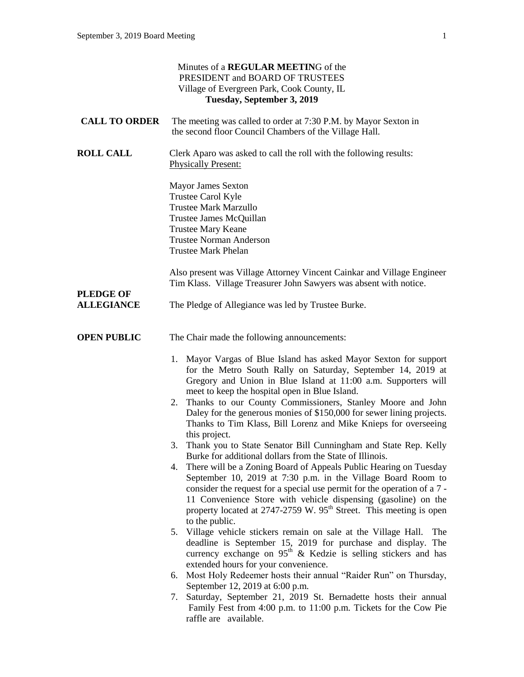|                                       | Minutes of a REGULAR MEETING of the<br>PRESIDENT and BOARD OF TRUSTEES<br>Village of Evergreen Park, Cook County, IL<br>Tuesday, September 3, 2019                                                                                                                                                                                                                                                                                                                                                                  |
|---------------------------------------|---------------------------------------------------------------------------------------------------------------------------------------------------------------------------------------------------------------------------------------------------------------------------------------------------------------------------------------------------------------------------------------------------------------------------------------------------------------------------------------------------------------------|
| <b>CALL TO ORDER</b>                  | The meeting was called to order at 7:30 P.M. by Mayor Sexton in<br>the second floor Council Chambers of the Village Hall.                                                                                                                                                                                                                                                                                                                                                                                           |
| <b>ROLL CALL</b>                      | Clerk Aparo was asked to call the roll with the following results:<br><b>Physically Present:</b>                                                                                                                                                                                                                                                                                                                                                                                                                    |
|                                       | <b>Mayor James Sexton</b><br>Trustee Carol Kyle<br><b>Trustee Mark Marzullo</b><br>Trustee James McQuillan<br><b>Trustee Mary Keane</b><br><b>Trustee Norman Anderson</b><br><b>Trustee Mark Phelan</b>                                                                                                                                                                                                                                                                                                             |
| <b>PLEDGE OF</b><br><b>ALLEGIANCE</b> | Also present was Village Attorney Vincent Cainkar and Village Engineer<br>Tim Klass. Village Treasurer John Sawyers was absent with notice.<br>The Pledge of Allegiance was led by Trustee Burke.                                                                                                                                                                                                                                                                                                                   |
| <b>OPEN PUBLIC</b>                    | The Chair made the following announcements:<br>1. Mayor Vargas of Blue Island has asked Mayor Sexton for support<br>for the Metro South Rally on Saturday, September 14, 2019 at                                                                                                                                                                                                                                                                                                                                    |
|                                       | Gregory and Union in Blue Island at 11:00 a.m. Supporters will<br>meet to keep the hospital open in Blue Island.<br>2. Thanks to our County Commissioners, Stanley Moore and John<br>Daley for the generous monies of \$150,000 for sewer lining projects.<br>Thanks to Tim Klass, Bill Lorenz and Mike Knieps for overseeing<br>this project.                                                                                                                                                                      |
|                                       | Thank you to State Senator Bill Cunningham and State Rep. Kelly<br>3.<br>Burke for additional dollars from the State of Illinois.<br>4. There will be a Zoning Board of Appeals Public Hearing on Tuesday<br>September 10, 2019 at 7:30 p.m. in the Village Board Room to<br>consider the request for a special use permit for the operation of a 7 -<br>11 Convenience Store with vehicle dispensing (gasoline) on the<br>property located at $2747-2759$ W. $95th$ Street. This meeting is open<br>to the public. |
|                                       | 5. Village vehicle stickers remain on sale at the Village Hall.<br>The<br>deadline is September 15, 2019 for purchase and display. The<br>currency exchange on 95 <sup>th</sup> & Kedzie is selling stickers and has<br>extended hours for your convenience.                                                                                                                                                                                                                                                        |
|                                       | Most Holy Redeemer hosts their annual "Raider Run" on Thursday,<br>6.<br>September 12, 2019 at 6:00 p.m.<br>Saturday, September 21, 2019 St. Bernadette hosts their annual<br>7.<br>Family Fest from 4:00 p.m. to 11:00 p.m. Tickets for the Cow Pie<br>raffle are available.                                                                                                                                                                                                                                       |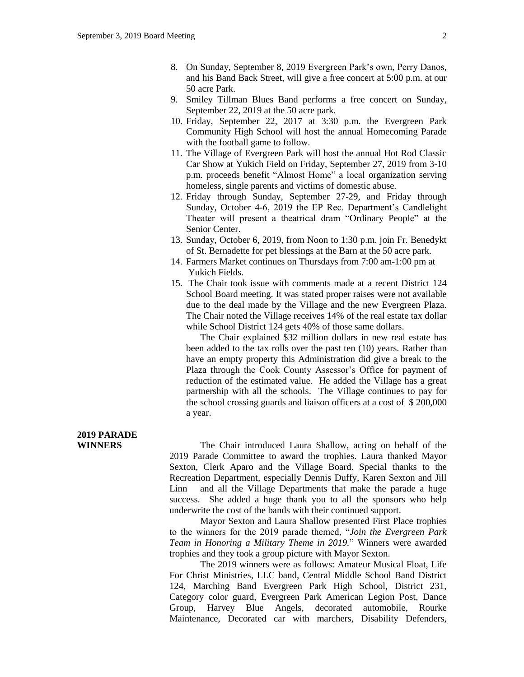- 8. On Sunday, September 8, 2019 Evergreen Park's own, Perry Danos, and his Band Back Street, will give a free concert at 5:00 p.m. at our 50 acre Park.
- 9. Smiley Tillman Blues Band performs a free concert on Sunday, September 22, 2019 at the 50 acre park.
- 10. Friday, September 22, 2017 at 3:30 p.m. the Evergreen Park Community High School will host the annual Homecoming Parade with the football game to follow.
- 11. The Village of Evergreen Park will host the annual Hot Rod Classic Car Show at Yukich Field on Friday, September 27, 2019 from 3-10 p.m. proceeds benefit "Almost Home" a local organization serving homeless, single parents and victims of domestic abuse.
- 12. Friday through Sunday, September 27-29, and Friday through Sunday, October 4-6, 2019 the EP Rec. Department's Candlelight Theater will present a theatrical dram "Ordinary People" at the Senior Center.
- 13. Sunday, October 6, 2019, from Noon to 1:30 p.m. join Fr. Benedykt of St. Bernadette for pet blessings at the Barn at the 50 acre park.
- 14. Farmers Market continues on Thursdays from 7:00 am-1:00 pm at Yukich Fields.
- 15. The Chair took issue with comments made at a recent District 124 School Board meeting. It was stated proper raises were not available due to the deal made by the Village and the new Evergreen Plaza. The Chair noted the Village receives 14% of the real estate tax dollar while School District 124 gets 40% of those same dollars.

The Chair explained \$32 million dollars in new real estate has been added to the tax rolls over the past ten (10) years. Rather than have an empty property this Administration did give a break to the Plaza through the Cook County Assessor's Office for payment of reduction of the estimated value. He added the Village has a great partnership with all the schools. The Village continues to pay for the school crossing guards and liaison officers at a cost of \$ 200,000 a year.

## **2019 PARADE**

**WINNERS** The Chair introduced Laura Shallow, acting on behalf of the 2019 Parade Committee to award the trophies. Laura thanked Mayor Sexton, Clerk Aparo and the Village Board. Special thanks to the Recreation Department, especially Dennis Duffy, Karen Sexton and Jill Linn and all the Village Departments that make the parade a huge success. She added a huge thank you to all the sponsors who help underwrite the cost of the bands with their continued support.

> Mayor Sexton and Laura Shallow presented First Place trophies to the winners for the 2019 parade themed, "*Join the Evergreen Park Team in Honoring a Military Theme in 2019.*" Winners were awarded trophies and they took a group picture with Mayor Sexton.

> The 2019 winners were as follows: Amateur Musical Float, Life For Christ Ministries, LLC band, Central Middle School Band District 124, Marching Band Evergreen Park High School, District 231, Category color guard, Evergreen Park American Legion Post, Dance Group, Harvey Blue Angels, decorated automobile, Rourke Maintenance, Decorated car with marchers, Disability Defenders,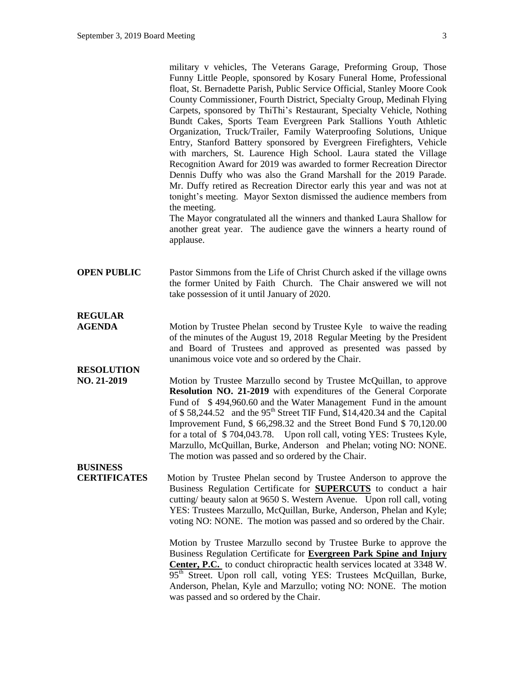military v vehicles, The Veterans Garage, Preforming Group, Those Funny Little People, sponsored by Kosary Funeral Home, Professional float, St. Bernadette Parish, Public Service Official, Stanley Moore Cook County Commissioner, Fourth District, Specialty Group, Medinah Flying Carpets, sponsored by ThiThi's Restaurant, Specialty Vehicle, Nothing Bundt Cakes, Sports Team Evergreen Park Stallions Youth Athletic Organization, Truck/Trailer, Family Waterproofing Solutions, Unique Entry, Stanford Battery sponsored by Evergreen Firefighters, Vehicle with marchers, St. Laurence High School. Laura stated the Village Recognition Award for 2019 was awarded to former Recreation Director Dennis Duffy who was also the Grand Marshall for the 2019 Parade. Mr. Duffy retired as Recreation Director early this year and was not at tonight's meeting. Mayor Sexton dismissed the audience members from the meeting. The Mayor congratulated all the winners and thanked Laura Shallow for another great year. The audience gave the winners a hearty round of applause. **OPEN PUBLIC** Pastor Simmons from the Life of Christ Church asked if the village owns the former United by Faith Church. The Chair answered we will not take possession of it until January of 2020. **REGULAR AGENDA** Motion by Trustee Phelan second by Trustee Kyle to waive the reading of the minutes of the August 19, 2018 Regular Meeting by the President and Board of Trustees and approved as presented was passed by unanimous voice vote and so ordered by the Chair. **RESOLUTION NO. 21-2019** Motion by Trustee Marzullo second by Trustee McQuillan, to approve **Resolution NO. 21-2019** with expenditures of the General Corporate Fund of \$494,960.60 and the Water Management Fund in the amount of  $$58,244.52$  and the 95<sup>th</sup> Street TIF Fund,  $$14,420.34$  and the Capital Improvement Fund, \$ 66,298.32 and the Street Bond Fund \$ 70,120.00 for a total of \$ 704,043.78. Upon roll call, voting YES: Trustees Kyle, Marzullo, McQuillan, Burke, Anderson and Phelan; voting NO: NONE. The motion was passed and so ordered by the Chair. **BUSINESS CERTIFICATES** Motion by Trustee Phelan second by Trustee Anderson to approve the Business Regulation Certificate for **SUPERCUTS** to conduct a hair cutting/ beauty salon at 9650 S. Western Avenue. Upon roll call, voting YES: Trustees Marzullo, McQuillan, Burke, Anderson, Phelan and Kyle; voting NO: NONE. The motion was passed and so ordered by the Chair. Motion by Trustee Marzullo second by Trustee Burke to approve the Business Regulation Certificate for **Evergreen Park Spine and Injury Center, P.C.** to conduct chiropractic health services located at 3348 W.  $95<sup>th</sup>$  Street. Upon roll call, voting YES: Trustees McQuillan, Burke, Anderson, Phelan, Kyle and Marzullo; voting NO: NONE. The motion was passed and so ordered by the Chair.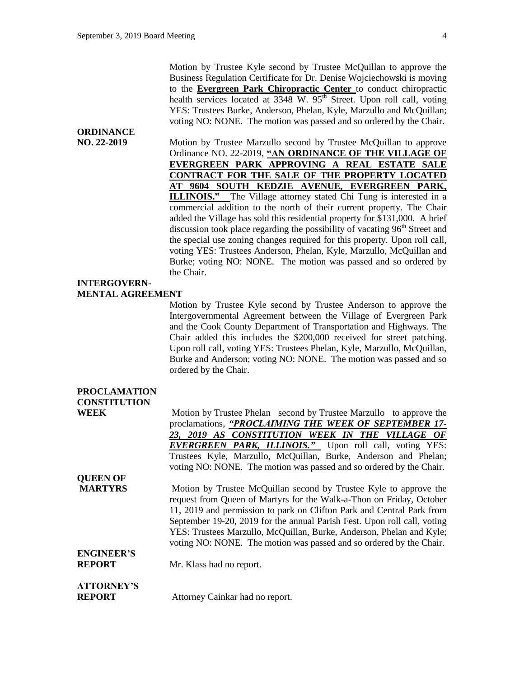**ORDINANCE**

Motion by Trustee Kyle second by Trustee McQuillan to approve the Business Regulation Certificate for Dr. Denise Wojciechowski is moving to the **Evergreen Park Chiropractic Center** to conduct chiropractic health services located at 3348 W. 95<sup>th</sup> Street. Upon roll call, voting YES: Trustees Burke, Anderson, Phelan, Kyle, Marzullo and McQuillan; voting NO: NONE. The motion was passed and so ordered by the Chair.

**NO. 22-2019** Motion by Trustee Marzullo second by Trustee McQuillan to approve Ordinance NO. 22-2019, **"AN ORDINANCE OF THE VILLAGE OF EVERGREEN PARK APPROVING A REAL ESTATE SALE CONTRACT FOR THE SALE OF THE PROPERTY LOCATED AT 9604 SOUTH KEDZIE AVENUE, EVERGREEN PARK, ILLINOIS."** The Village attorney stated Chi Tung is interested in a commercial addition to the north of their current property. The Chair added the Village has sold this residential property for \$131,000. A brief discussion took place regarding the possibility of vacating  $96<sup>th</sup>$  Street and the special use zoning changes required for this property. Upon roll call, voting YES: Trustees Anderson, Phelan, Kyle, Marzullo, McQuillan and Burke; voting NO: NONE. The motion was passed and so ordered by the Chair.

## **INTERGOVERN-MENTAL AGREEMENT**

**PROCLAMATION**

Motion by Trustee Kyle second by Trustee Anderson to approve the Intergovernmental Agreement between the Village of Evergreen Park and the Cook County Department of Transportation and Highways. The Chair added this includes the \$200,000 received for street patching. Upon roll call, voting YES: Trustees Phelan, Kyle, Marzullo, McQuillan, Burke and Anderson; voting NO: NONE. The motion was passed and so ordered by the Chair.

| I NUCLAMA HUN       |                                                                          |
|---------------------|--------------------------------------------------------------------------|
| <b>CONSTITUTION</b> |                                                                          |
| WEEK                | Motion by Trustee Phelan second by Trustee Marzullo to approve the       |
|                     | proclamations, "PROCLAIMING THE WEEK OF SEPTEMBER 17-                    |
|                     | 23, 2019 AS CONSTITUTION WEEK IN THE VILLAGE OF                          |
|                     | <b>EVERGREEN PARK, ILLINOIS."</b> Upon roll call, voting YES:            |
|                     | Trustees Kyle, Marzullo, McQuillan, Burke, Anderson and Phelan;          |
|                     | voting NO: NONE. The motion was passed and so ordered by the Chair.      |
| <b>QUEEN OF</b>     |                                                                          |
| <b>MARTYRS</b>      | Motion by Trustee McQuillan second by Trustee Kyle to approve the        |
|                     | request from Queen of Martyrs for the Walk-a-Thon on Friday, October     |
|                     | 11, 2019 and permission to park on Clifton Park and Central Park from    |
|                     | September 19-20, 2019 for the annual Parish Fest. Upon roll call, voting |
|                     | YES: Trustees Marzullo, McQuillan, Burke, Anderson, Phelan and Kyle;     |
|                     | voting NO: NONE. The motion was passed and so ordered by the Chair.      |
| <b>ENGINEER'S</b>   |                                                                          |
| <b>REPORT</b>       | Mr. Klass had no report.                                                 |
| $\overline{1}$      |                                                                          |

## **ATTORNEY'S**

**REPORT** Attorney Cainkar had no report.